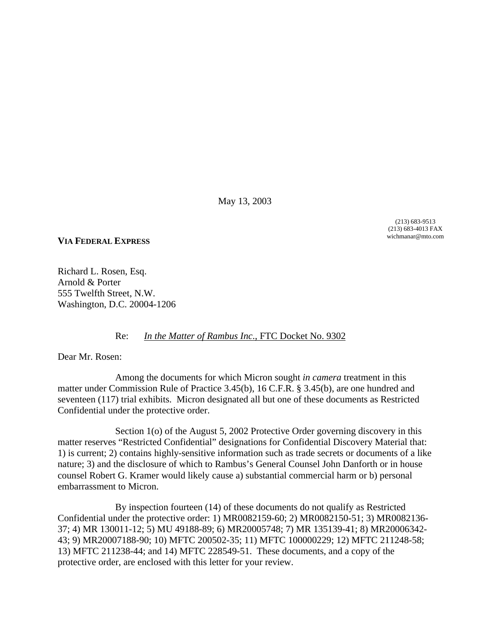May 13, 2003

(213) 683-9513 (213) 683-4013 FAX wichmanar@mto.com

## **VIA FEDERAL EXPRESS**

Richard L. Rosen, Esq. Arnold & Porter 555 Twelfth Street, N.W. Washington, D.C. 20004-1206

## Re: *In the Matter of Rambus Inc*., FTC Docket No. 9302

Dear Mr. Rosen:

Among the documents for which Micron sought *in camera* treatment in this matter under Commission Rule of Practice 3.45(b), 16 C.F.R. § 3.45(b), are one hundred and seventeen (117) trial exhibits. Micron designated all but one of these documents as Restricted Confidential under the protective order.

Section 1(o) of the August 5, 2002 Protective Order governing discovery in this matter reserves "Restricted Confidential" designations for Confidential Discovery Material that: 1) is current; 2) contains highly-sensitive information such as trade secrets or documents of a like nature; 3) and the disclosure of which to Rambus's General Counsel John Danforth or in house counsel Robert G. Kramer would likely cause a) substantial commercial harm or b) personal embarrassment to Micron.

By inspection fourteen (14) of these documents do not qualify as Restricted Confidential under the protective order: 1) MR0082159-60; 2) MR0082150-51; 3) MR0082136- 37; 4) MR 130011-12; 5) MU 49188-89; 6) MR20005748; 7) MR 135139-41; 8) MR20006342- 43; 9) MR20007188-90; 10) MFTC 200502-35; 11) MFTC 100000229; 12) MFTC 211248-58; 13) MFTC 211238-44; and 14) MFTC 228549-51. These documents, and a copy of the protective order, are enclosed with this letter for your review.